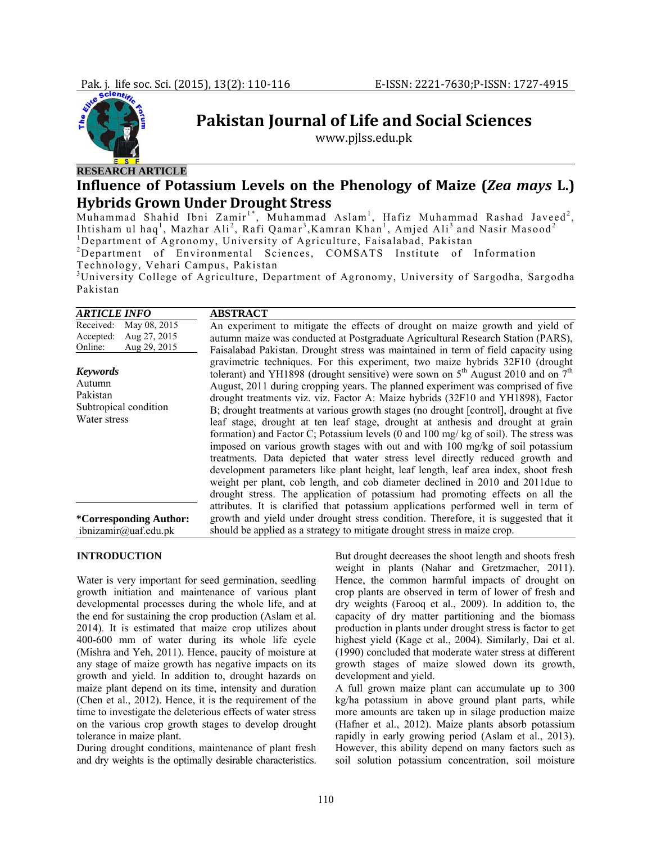

# **Pakistan Journal of Life and Social Sciences**

www.pjlss.edu.pk

# **Influence of Potassium Levels on the Phenology of Maize (***Zea mays* **L.) Hybrids Grown Under Drought Stress**

Muhammad Shahid Ibni Zamir<sup>1\*</sup>, Muhammad Aslam<sup>1</sup>, Hafiz Muhammad Rashad Javeed<sup>2</sup>, Ihtisham ul haq<sup>1</sup>, Mazhar Ali<sup>2</sup>, Rafi Qamar<sup>3</sup>, Kamran Khan<sup>1</sup>, Amjed Ali<sup>3</sup> and Nasir Masood<sup>2</sup><br><sup>1</sup>Department of Agreemy, University of Agriculture, Esisalahed, Bekistan Department of Agronomy, University of Agriculture, Faisalabad, Pakistan

<sup>2</sup>Department of Environmental Sciences, COMSATS Institute of Information Technology, Vehari Campus, Pakistan

<sup>3</sup>University College of Agriculture, Department of Agronomy, University of Sargodha, Sargodha Pakistan

| <i><b>ARTICLE INFO</b></i>                                                        | <b>ABSTRACT</b>                                                                                                                                                                                                                                                                                                                                                                                                                                                                                                                                                                                                                                                                                                                                                                                                                                                                                                                                                                                                                              |
|-----------------------------------------------------------------------------------|----------------------------------------------------------------------------------------------------------------------------------------------------------------------------------------------------------------------------------------------------------------------------------------------------------------------------------------------------------------------------------------------------------------------------------------------------------------------------------------------------------------------------------------------------------------------------------------------------------------------------------------------------------------------------------------------------------------------------------------------------------------------------------------------------------------------------------------------------------------------------------------------------------------------------------------------------------------------------------------------------------------------------------------------|
| May 08, 2015<br>Received:<br>Aug 27, 2015<br>Accepted:<br>Aug 29, 2015<br>Online: | An experiment to mitigate the effects of drought on maize growth and yield of<br>autumn maize was conducted at Postgraduate Agricultural Research Station (PARS),<br>Faisalabad Pakistan. Drought stress was maintained in term of field capacity using                                                                                                                                                                                                                                                                                                                                                                                                                                                                                                                                                                                                                                                                                                                                                                                      |
| <b>Keywords</b><br>Autumn<br>Pakistan<br>Subtropical condition<br>Water stress    | gravimetric techniques. For this experiment, two maize hybrids 32F10 (drought<br>tolerant) and YH1898 (drought sensitive) were sown on $5th$ August 2010 and on $7th$<br>August, 2011 during cropping years. The planned experiment was comprised of five<br>drought treatments viz. viz. Factor A: Maize hybrids (32F10 and YH1898), Factor<br>B; drought treatments at various growth stages (no drought [control], drought at five<br>leaf stage, drought at ten leaf stage, drought at anthesis and drought at grain<br>formation) and Factor C; Potassium levels (0 and 100 mg/kg of soil). The stress was<br>imposed on various growth stages with out and with 100 mg/kg of soil potassium<br>treatments. Data depicted that water stress level directly reduced growth and<br>development parameters like plant height, leaf length, leaf area index, shoot fresh<br>weight per plant, cob length, and cob diameter declined in 2010 and 2011due to<br>drought stress. The application of potassium had promoting effects on all the |
| *Corresponding Author:<br>ibnizamir@uaf.edu.pk                                    | attributes. It is clarified that potassium applications performed well in term of<br>growth and yield under drought stress condition. Therefore, it is suggested that it<br>should be applied as a strategy to mitigate drought stress in maize crop.                                                                                                                                                                                                                                                                                                                                                                                                                                                                                                                                                                                                                                                                                                                                                                                        |

# **INTRODUCTION**

Water is very important for seed germination, seedling growth initiation and maintenance of various plant developmental processes during the whole life, and at the end for sustaining the crop production (Aslam et al. 2014). It is estimated that maize crop utilizes about 400-600 mm of water during its whole life cycle (Mishra and Yeh, 2011). Hence, paucity of moisture at any stage of maize growth has negative impacts on its growth and yield. In addition to, drought hazards on maize plant depend on its time, intensity and duration (Chen et al., 2012). Hence, it is the requirement of the time to investigate the deleterious effects of water stress on the various crop growth stages to develop drought tolerance in maize plant.

During drought conditions, maintenance of plant fresh and dry weights is the optimally desirable characteristics.

But drought decreases the shoot length and shoots fresh weight in plants (Nahar and Gretzmacher, 2011). Hence, the common harmful impacts of drought on crop plants are observed in term of lower of fresh and dry weights (Farooq et al., 2009). In addition to, the capacity of dry matter partitioning and the biomass production in plants under drought stress is factor to get highest yield (Kage et al., 2004). Similarly, Dai et al. (1990) concluded that moderate water stress at different growth stages of maize slowed down its growth, development and yield.

A full grown maize plant can accumulate up to 300 kg/ha potassium in above ground plant parts, while more amounts are taken up in silage production maize (Hafner et al., 2012). Maize plants absorb potassium rapidly in early growing period (Aslam et al., 2013). However, this ability depend on many factors such as soil solution potassium concentration, soil moisture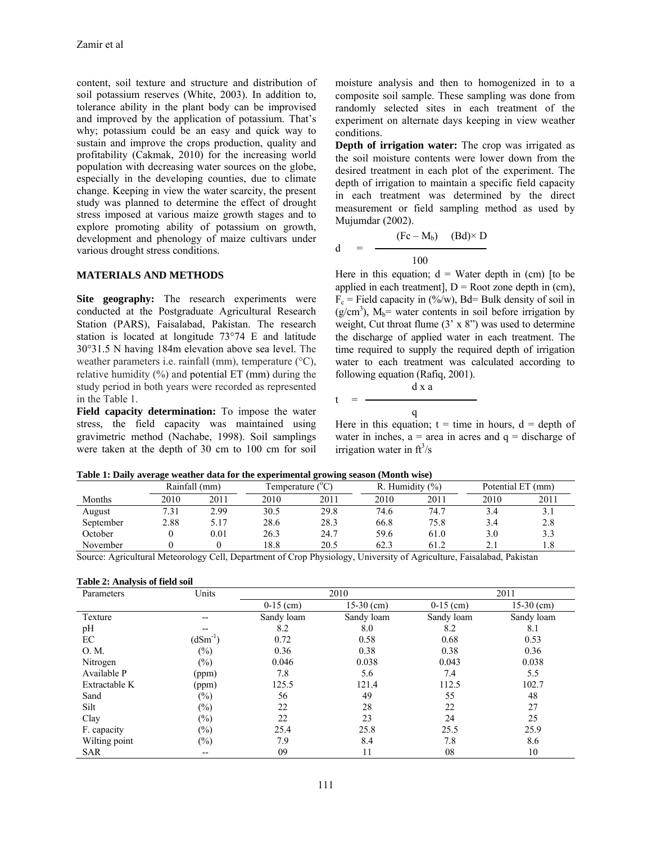content, soil texture and structure and distribution of soil potassium reserves (White, 2003). In addition to, tolerance ability in the plant body can be improvised and improved by the application of potassium. That's why; potassium could be an easy and quick way to sustain and improve the crops production, quality and profitability (Cakmak, 2010) for the increasing world population with decreasing water sources on the globe, especially in the developing counties, due to climate change. Keeping in view the water scarcity, the present study was planned to determine the effect of drought stress imposed at various maize growth stages and to explore promoting ability of potassium on growth, development and phenology of maize cultivars under various drought stress conditions.

# **MATERIALS AND METHODS**

Site geography: The research experiments were conducted at the Postgraduate Agricultural Research Station (PARS), Faisalabad, Pakistan. The research station is located at longitude 73°74 E and latitude 30°31.5 N having 184m elevation above sea level. The weather parameters i.e. rainfall (mm), temperature (°C), relative humidity  $(\%)$  and potential ET (mm) during the study period in both years were recorded as represented in the Table 1.

**Field capacity determination:** To impose the water stress, the field capacity was maintained using gravimetric method (Nachabe, 1998). Soil samplings were taken at the depth of 30 cm to 100 cm for soil

moisture analysis and then to homogenized in to a composite soil sample. These sampling was done from randomly selected sites in each treatment of the experiment on alternate days keeping in view weather conditions.

**Depth of irrigation water:** The crop was irrigated as the soil moisture contents were lower down from the desired treatment in each plot of the experiment. The depth of irrigation to maintain a specific field capacity in each treatment was determined by the direct measurement or field sampling method as used by Mujumdar (2002).

$$
d = \frac{(Fc - M_b) \quad (Bd) \times D}{100}
$$

Here in this equation;  $d = W$ ater depth in (cm) [to be applied in each treatment],  $D = Root$  zone depth in (cm),  $F_c$  = Field capacity in (%/w), Bd= Bulk density of soil in  $(g/cm<sup>3</sup>)$ ,  $M_b$ = water contents in soil before irrigation by weight, Cut throat flume  $(3 \times 8)$  was used to determine the discharge of applied water in each treatment. The time required to supply the required depth of irrigation water to each treatment was calculated according to following equation (Rafiq, 2001).

$$
= \frac{d \times a}{q}
$$

Here in this equation;  $t =$  time in hours,  $d =$  depth of water in inches,  $a = \text{area}$  in acres and  $q = \text{discharge}$  of irrigation water in  $ft^3/s$ 

|           |      | Rainfall (mm) |      | (°C<br>l'emperature l |      | R. Humidity $(\%)$ |      | Potential ET (mm) |  |  |
|-----------|------|---------------|------|-----------------------|------|--------------------|------|-------------------|--|--|
| Months    | 2010 | 2011          | 2010 | 2011                  | 2010 | 2011               | 2010 | 2011              |  |  |
| August    | 7.31 | 2.99          | 30.5 | 29.8                  | 74.6 | 74.7               | 3.4  |                   |  |  |
| September | 2.88 | 5.17          | 28.6 | 28.3                  | 66.8 | 75.8               | 3.4  | 2.8               |  |  |
| October   |      | $0.01\,$      | 26.3 | 24.7                  | 59.6 | 61.0               | 3.0  | 3.3               |  |  |
| November  |      |               | 8.8  | 20.5                  | 62.3 | 61.2               |      |                   |  |  |

 $\mathbf d$ 

 $t$ 

**Table 1: Daily average weather data for the experimental growing season (Month wise)**

Source: Agricultural Meteorology Cell, Department of Crop Physiology, University of Agriculture, Faisalabad, Pakistan

#### **Table 2: Analysis of field soil**

| Parameters    | Units        |             | 2010         |             | 2011         |
|---------------|--------------|-------------|--------------|-------------|--------------|
|               |              | $0-15$ (cm) | $15-30$ (cm) | $0-15$ (cm) | $15-30$ (cm) |
| Texture       | --           | Sandy loam  | Sandy loam   | Sandy loam  | Sandy loam   |
| pH            | --           | 8.2         | 8.0          | 8.2         | 8.1          |
| EC            | $(dSm^{-1})$ | 0.72        | 0.58         | 0.68        | 0.53         |
| O. M.         | $(\%)$       | 0.36        | 0.38         | 0.38        | 0.36         |
| Nitrogen      | $(\%)$       | 0.046       | 0.038        | 0.043       | 0.038        |
| Available P   | (ppm)        | 7.8         | 5.6          | 7.4         | 5.5          |
| Extractable K | (ppm)        | 125.5       | 121.4        | 112.5       | 102.7        |
| Sand          | $(\%)$       | 56          | 49           | 55          | 48           |
| Silt          | $(\%)$       | 22          | 28           | 22          | 27           |
| Clay          | $(\%)$       | 22          | 23           | 24          | 25           |
| F. capacity   | $(\%)$       | 25.4        | 25.8         | 25.5        | 25.9         |
| Wilting point | $(\%)$       | 7.9         | 8.4          | 7.8         | 8.6          |
| <b>SAR</b>    | --           | 09          | 11           | 08          | 10           |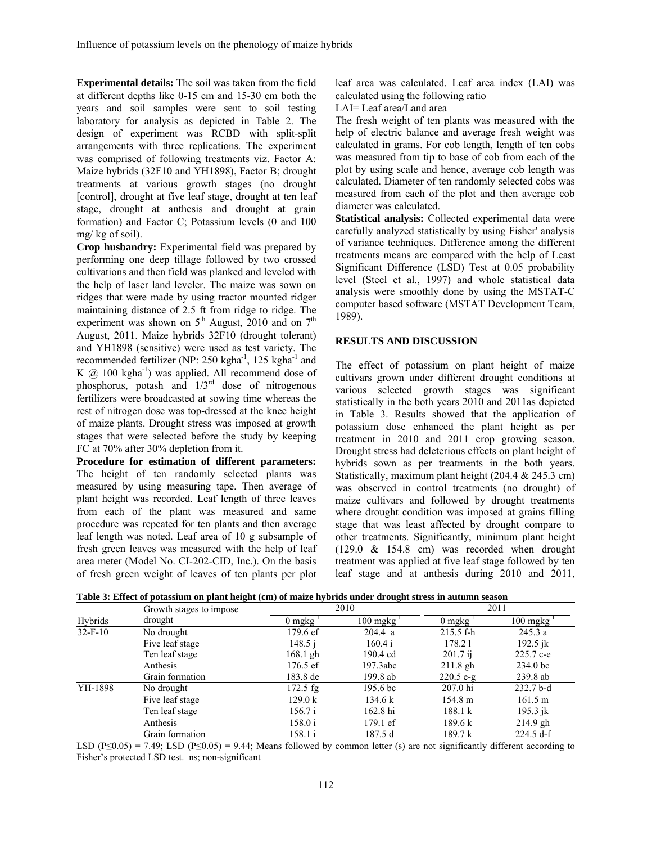**Experimental details:** The soil was taken from the field at different depths like 0-15 cm and 15-30 cm both the years and soil samples were sent to soil testing laboratory for analysis as depicted in Table 2. The design of experiment was RCBD with split-split arrangements with three replications. The experiment was comprised of following treatments viz. Factor A: Maize hybrids (32F10 and YH1898), Factor B; drought treatments at various growth stages (no drought [control], drought at five leaf stage, drought at ten leaf stage, drought at anthesis and drought at grain formation) and Factor C; Potassium levels (0 and 100 mg/ kg of soil).

**Crop husbandry:** Experimental field was prepared by performing one deep tillage followed by two crossed cultivations and then field was planked and leveled with the help of laser land leveler. The maize was sown on ridges that were made by using tractor mounted ridger maintaining distance of 2.5 ft from ridge to ridge. The experiment was shown on  $5<sup>th</sup>$  August, 2010 and on  $7<sup>th</sup>$ August, 2011. Maize hybrids 32F10 (drought tolerant) and YH1898 (sensitive) were used as test variety. The recommended fertilizer (NP: 250 kgha<sup>-1</sup>, 125 kgha<sup>-1</sup> and K  $(a)$  100 kgha<sup>-1</sup>) was applied. All recommend dose of phosphorus, potash and  $1/3<sup>rd</sup>$  dose of nitrogenous fertilizers were broadcasted at sowing time whereas the rest of nitrogen dose was top-dressed at the knee height of maize plants. Drought stress was imposed at growth stages that were selected before the study by keeping FC at 70% after 30% depletion from it.

**Procedure for estimation of different parameters:**  The height of ten randomly selected plants was measured by using measuring tape. Then average of plant height was recorded. Leaf length of three leaves from each of the plant was measured and same procedure was repeated for ten plants and then average leaf length was noted. Leaf area of 10 g subsample of fresh green leaves was measured with the help of leaf area meter (Model No. CI-202-CID, Inc.). On the basis of fresh green weight of leaves of ten plants per plot leaf area was calculated. Leaf area index (LAI) was calculated using the following ratio

LAI= Leaf area/Land area

The fresh weight of ten plants was measured with the help of electric balance and average fresh weight was calculated in grams. For cob length, length of ten cobs was measured from tip to base of cob from each of the plot by using scale and hence, average cob length was calculated. Diameter of ten randomly selected cobs was measured from each of the plot and then average cob diameter was calculated.

**Statistical analysis:** Collected experimental data were carefully analyzed statistically by using Fisher' analysis of variance techniques. Difference among the different treatments means are compared with the help of Least Significant Difference (LSD) Test at 0.05 probability level (Steel et al., 1997) and whole statistical data analysis were smoothly done by using the MSTAT-C computer based software (MSTAT Development Team, 1989).

# **RESULTS AND DISCUSSION**

The effect of potassium on plant height of maize cultivars grown under different drought conditions at various selected growth stages was significant statistically in the both years 2010 and 2011as depicted in Table 3. Results showed that the application of potassium dose enhanced the plant height as per treatment in 2010 and 2011 crop growing season. Drought stress had deleterious effects on plant height of hybrids sown as per treatments in the both years. Statistically, maximum plant height (204.4 & 245.3 cm) was observed in control treatments (no drought) of maize cultivars and followed by drought treatments where drought condition was imposed at grains filling stage that was least affected by drought compare to other treatments. Significantly, minimum plant height (129.0 & 154.8 cm) was recorded when drought treatment was applied at five leaf stage followed by ten leaf stage and at anthesis during 2010 and 2011,

|  |  | Table 3: Effect of potassium on plant height (cm) of maize hybrids under drought stress in autumn season |
|--|--|----------------------------------------------------------------------------------------------------------|
|  |  |                                                                                                          |

|           | Growth stages to impose |                    | 2010                    | 2011                  |             |
|-----------|-------------------------|--------------------|-------------------------|-----------------------|-------------|
| Hybrids   | drought                 | $0$ mgkg $^{-1}$   | $100 \text{ mgkg}^{-1}$ | $0 \text{ mgkg}^{-1}$ | 100 mgkg    |
| $32-F-10$ | No drought              | 179.6 ef           | 204.4 a                 | $215.5 f-h$           | 245.3a      |
|           | Five leaf stage         | 148.5j             | 160.4 i                 | 178.21                | 192.5 jk    |
|           | Ten leaf stage          | $168.1$ gh         | 190.4 cd                | $201.7$ ij            | 225.7 c-e   |
|           | Anthesis                | $176.5 \text{ ef}$ | 197.3abc                | $211.8$ gh            | 234.0 bc    |
|           | Grain formation         | 183.8 de           | 199.8 ab                | $220.5 e-g$           | $239.8$ ab  |
| YH-1898   | No drought              | $172.5$ fg         | 195.6 bc                | $207.0$ hi            | $232.7b-d$  |
|           | Five leaf stage         | 129.0 k            | 134.6 k                 | $154.8 \text{ m}$     | 161.5 m     |
|           | Ten leaf stage          | 156.7 i            | $162.8$ hi              | 188.1 k               | 195.3 jk    |
|           | Anthesis                | 158.0 i            | $179.1 \text{ ef}$      | 189.6 k               | $214.9$ gh  |
|           | Grain formation         | 158.1 i            | 187.5 d                 | 189.7 k               | $224.5 d-f$ |

LSD (P≤0.05) = 7.49; LSD (P≤0.05) = 9.44; Means followed by common letter (s) are not significantly different according to Fisher's protected LSD test. ns; non-significant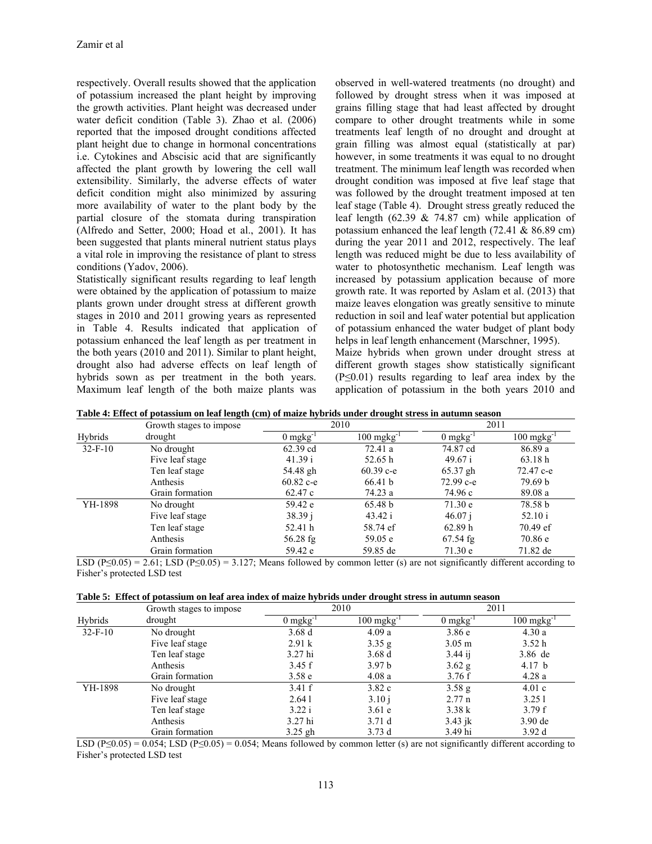respectively. Overall results showed that the application of potassium increased the plant height by improving the growth activities. Plant height was decreased under water deficit condition (Table 3). Zhao et al. (2006) reported that the imposed drought conditions affected plant height due to change in hormonal concentrations i.e. Cytokines and Abscisic acid that are significantly affected the plant growth by lowering the cell wall extensibility. Similarly, the adverse effects of water deficit condition might also minimized by assuring more availability of water to the plant body by the partial closure of the stomata during transpiration (Alfredo and Setter, 2000; Hoad et al., 2001). It has been suggested that plants mineral nutrient status plays a vital role in improving the resistance of plant to stress conditions (Yadov, 2006).

Statistically significant results regarding to leaf length were obtained by the application of potassium to maize plants grown under drought stress at different growth stages in 2010 and 2011 growing years as represented in Table 4. Results indicated that application of potassium enhanced the leaf length as per treatment in the both years (2010 and 2011). Similar to plant height, drought also had adverse effects on leaf length of hybrids sown as per treatment in the both years. Maximum leaf length of the both maize plants was

observed in well-watered treatments (no drought) and followed by drought stress when it was imposed at grains filling stage that had least affected by drought compare to other drought treatments while in some treatments leaf length of no drought and drought at grain filling was almost equal (statistically at par) however, in some treatments it was equal to no drought treatment. The minimum leaf length was recorded when drought condition was imposed at five leaf stage that was followed by the drought treatment imposed at ten leaf stage (Table 4). Drought stress greatly reduced the leaf length (62.39  $& 74.87$  cm) while application of potassium enhanced the leaf length (72.41 & 86.89 cm) during the year 2011 and 2012, respectively. The leaf length was reduced might be due to less availability of water to photosynthetic mechanism. Leaf length was increased by potassium application because of more growth rate. It was reported by Aslam et al. (2013) that maize leaves elongation was greatly sensitive to minute reduction in soil and leaf water potential but application of potassium enhanced the water budget of plant body helps in leaf length enhancement (Marschner, 1995).

Maize hybrids when grown under drought stress at different growth stages show statistically significant (P≤0.01) results regarding to leaf area index by the application of potassium in the both years 2010 and

|  |  | Table 4: Effect of potassium on leaf length (cm) of maize hybrids under drought stress in autumn season |
|--|--|---------------------------------------------------------------------------------------------------------|
|  |  |                                                                                                         |

|           | Growth stages to impose |                       | 2010                    |                       | 2011                  |  |
|-----------|-------------------------|-----------------------|-------------------------|-----------------------|-----------------------|--|
| Hybrids   | drought                 | $0 \text{ mgkg}^{-1}$ | $100 \text{ mgkg}^{-1}$ | $0 \text{ mgkg}^{-1}$ | 100 mgkg <sup>-</sup> |  |
| $32-F-10$ | No drought              | 62.39 cd              | 72.41 a                 | 74.87 cd              | 86.89 a               |  |
|           | Five leaf stage         | 41.39 i               | 52.65 h                 | 49.67 i               | 63.18h                |  |
|           | Ten leaf stage          | 54.48 gh              | $60.39$ c-e             | $65.37$ gh            | 72.47 c-e             |  |
|           | Anthesis                | $60.82$ c-e           | 66.41 b                 | 72.99 с-е             | 79.69 b               |  |
|           | Grain formation         | 62.47 c               | 74.23 a                 | 74.96 c               | 89.08 a               |  |
| YH-1898   | No drought              | 59.42 e               | 65.48 b                 | 71.30 e               | 78.58 b               |  |
|           | Five leaf stage         | 38.39j                | 43.42 i                 | 46.07 i               | 52.10 i               |  |
|           | Ten leaf stage          | 52.41 h               | 58.74 ef                | 62.89h                | 70.49 ef              |  |
|           | Anthesis                | 56.28 fg              | 59.05 e                 | $67.54$ fg            | 70.86 e               |  |
|           | Grain formation         | 59.42 e               | 59.85 de                | 71.30 e               | 71.82 de              |  |

LSD (P≤0.05) = 2.61; LSD (P≤0.05) = 3.127; Means followed by common letter (s) are not significantly different according to Fisher's protected LSD test

|  |  |  |  |  | Table 5: Effect of potassium on leaf area index of maize hybrids under drought stress in autumn season |  |
|--|--|--|--|--|--------------------------------------------------------------------------------------------------------|--|
|  |  |  |  |  |                                                                                                        |  |

|           | Growth stages to impose |               | 2010                              | 2011              |           |  |
|-----------|-------------------------|---------------|-----------------------------------|-------------------|-----------|--|
| Hybrids   | drought                 | $0$ mg $kg-1$ | $100 \text{ m}$ gkg <sup>-1</sup> | $0$ mgkg $^{-}$   | 100 mgkg  |  |
| $32-F-10$ | No drought              | 3.68d         | 4.09a                             | 3.86e             | 4.30a     |  |
|           | Five leaf stage         | 2.91 k        | 3.35 g                            | $3.05 \text{ m}$  | 3.52h     |  |
|           | Ten leaf stage          | 3.27 hi       | 3.68d                             | $3.44$ ii         | 3.86 de   |  |
|           | Anthesis                | 3.45 f        | 3.97 <sub>b</sub>                 | $3.62$ g          | 4.17 b    |  |
|           | Grain formation         | 3.58e         | 4.08a                             | 3.76f             | 4.28a     |  |
| YH-1898   | No drought              | 3.41 f        | 3.82c                             | 3.58 <sub>g</sub> | 4.01c     |  |
|           | Five leaf stage         | 2.641         | 3.10 i                            | 2.77n             | 3.251     |  |
|           | Ten leaf stage          | 3.22 i        | 3.61e                             | 3.38k             | 3.79f     |  |
|           | Anthesis                | 3.27 hi       | 3.71d                             | $3.43$ jk         | $3.90$ de |  |
|           | Grain formation         | $3.25$ gh     | 3.73d                             | 3.49 hi           | 3.92d     |  |

LSD (P≤0.05) = 0.054; LSD (P≤0.05) = 0.054; Means followed by common letter (s) are not significantly different according to Fisher's protected LSD test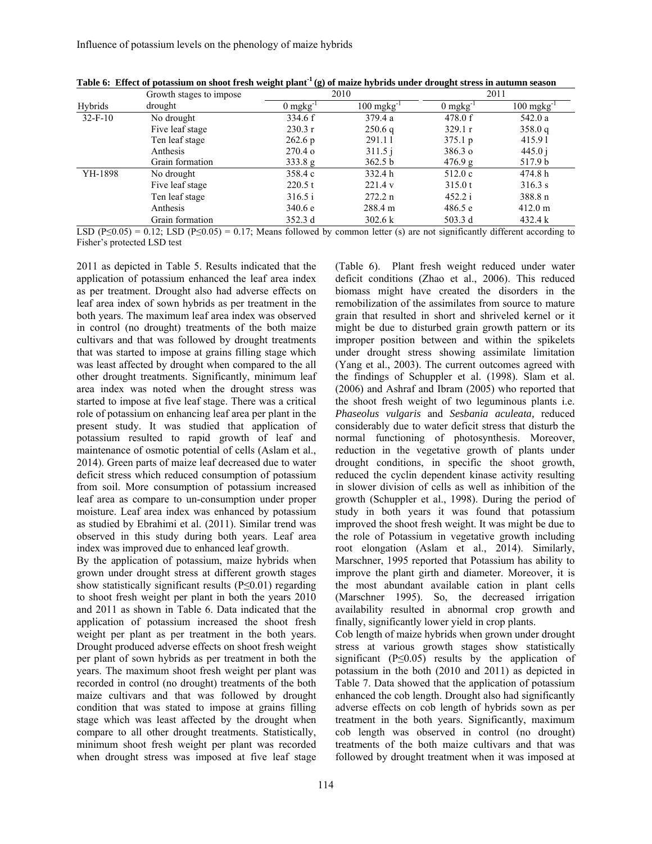|           | Growth stages to impose |                       | 2010                              | 2011                  |                                   |  |
|-----------|-------------------------|-----------------------|-----------------------------------|-----------------------|-----------------------------------|--|
| Hybrids   | drought                 | $0 \text{ mgkg}^{-1}$ | $100 \text{ m}$ gkg <sup>-1</sup> | $0 \text{ mgkg}^{-1}$ | $100 \text{ m}$ gkg <sup>-1</sup> |  |
| $32-F-10$ | No drought              | 334.6 f               | 379.4 a                           | 478.0 f               | 542.0 a                           |  |
|           | Five leaf stage         | 230.3 r               | 250.6q                            | 329.1 r               | 358.0 q                           |  |
|           | Ten leaf stage          | $262.6\,\mathrm{p}$   | 291.11                            | $375.1 \text{ p}$     | 415.91                            |  |
|           | Anthesis                | $270.4\,\sigma$       | 311.5j                            | $386.3 \text{ o}$     | 445.0j                            |  |
|           | Grain formation         | 333.8 g               | 362.5 b                           | 476.9 g               | 517.9 b                           |  |
| YH-1898   | No drought              | 358.4 c               | 332.4 h                           | 512.0c                | 474.8 h                           |  |
|           | Five leaf stage         | 220.5 t               | 221.4 v                           | 315.0 t               | 316.3 s                           |  |
|           | Ten leaf stage          | 316.5 i               | 272.2 n                           | 452.2 i               | 388.8 n                           |  |
|           | Anthesis                | 340.6 e               | 288.4 m                           | 486.5 e               | $412.0 \text{ m}$                 |  |
|           | Grain formation         | 352.3 d               | 302.6 k                           | 503.3 d               | 432.4 k                           |  |

**Table 6: Effect of potassium on shoot fresh weight plant-1 (g) of maize hybrids under drought stress in autumn season** 

LSD (P≤0.05) = 0.12; LSD (P≤0.05) = 0.17; Means followed by common letter (s) are not significantly different according to Fisher's protected LSD test

2011 as depicted in Table 5. Results indicated that the application of potassium enhanced the leaf area index as per treatment. Drought also had adverse effects on leaf area index of sown hybrids as per treatment in the both years. The maximum leaf area index was observed in control (no drought) treatments of the both maize cultivars and that was followed by drought treatments that was started to impose at grains filling stage which was least affected by drought when compared to the all other drought treatments. Significantly, minimum leaf area index was noted when the drought stress was started to impose at five leaf stage. There was a critical role of potassium on enhancing leaf area per plant in the present study. It was studied that application of potassium resulted to rapid growth of leaf and maintenance of osmotic potential of cells (Aslam et al., 2014). Green parts of maize leaf decreased due to water deficit stress which reduced consumption of potassium from soil. More consumption of potassium increased leaf area as compare to un-consumption under proper moisture. Leaf area index was enhanced by potassium as studied by Ebrahimi et al. (2011). Similar trend was observed in this study during both years. Leaf area index was improved due to enhanced leaf growth.

By the application of potassium, maize hybrids when grown under drought stress at different growth stages show statistically significant results (P≤0.01) regarding to shoot fresh weight per plant in both the years 2010 and 2011 as shown in Table 6. Data indicated that the application of potassium increased the shoot fresh weight per plant as per treatment in the both years. Drought produced adverse effects on shoot fresh weight per plant of sown hybrids as per treatment in both the years. The maximum shoot fresh weight per plant was recorded in control (no drought) treatments of the both maize cultivars and that was followed by drought condition that was stated to impose at grains filling stage which was least affected by the drought when compare to all other drought treatments. Statistically, minimum shoot fresh weight per plant was recorded when drought stress was imposed at five leaf stage

(Table 6). Plant fresh weight reduced under water deficit conditions (Zhao et al., 2006). This reduced biomass might have created the disorders in the remobilization of the assimilates from source to mature grain that resulted in short and shriveled kernel or it might be due to disturbed grain growth pattern or its improper position between and within the spikelets under drought stress showing assimilate limitation (Yang et al., 2003). The current outcomes agreed with the findings of Schuppler et al. (1998). Slam et al. (2006) and Ashraf and Ibram (2005) who reported that the shoot fresh weight of two leguminous plants i.e. *Phaseolus vulgaris* and *Sesbania aculeata,* reduced considerably due to water deficit stress that disturb the normal functioning of photosynthesis. Moreover, reduction in the vegetative growth of plants under drought conditions, in specific the shoot growth, reduced the cyclin dependent kinase activity resulting in slower division of cells as well as inhibition of the growth (Schuppler et al., 1998). During the period of study in both years it was found that potassium improved the shoot fresh weight. It was might be due to the role of Potassium in vegetative growth including root elongation (Aslam et al., 2014). Similarly, Marschner, 1995 reported that Potassium has ability to improve the plant girth and diameter. Moreover, it is the most abundant available cation in plant cells (Marschner 1995). So, the decreased irrigation availability resulted in abnormal crop growth and finally, significantly lower yield in crop plants.

Cob length of maize hybrids when grown under drought stress at various growth stages show statistically significant ( $P \le 0.05$ ) results by the application of potassium in the both (2010 and 2011) as depicted in Table 7. Data showed that the application of potassium enhanced the cob length. Drought also had significantly adverse effects on cob length of hybrids sown as per treatment in the both years. Significantly, maximum cob length was observed in control (no drought) treatments of the both maize cultivars and that was followed by drought treatment when it was imposed at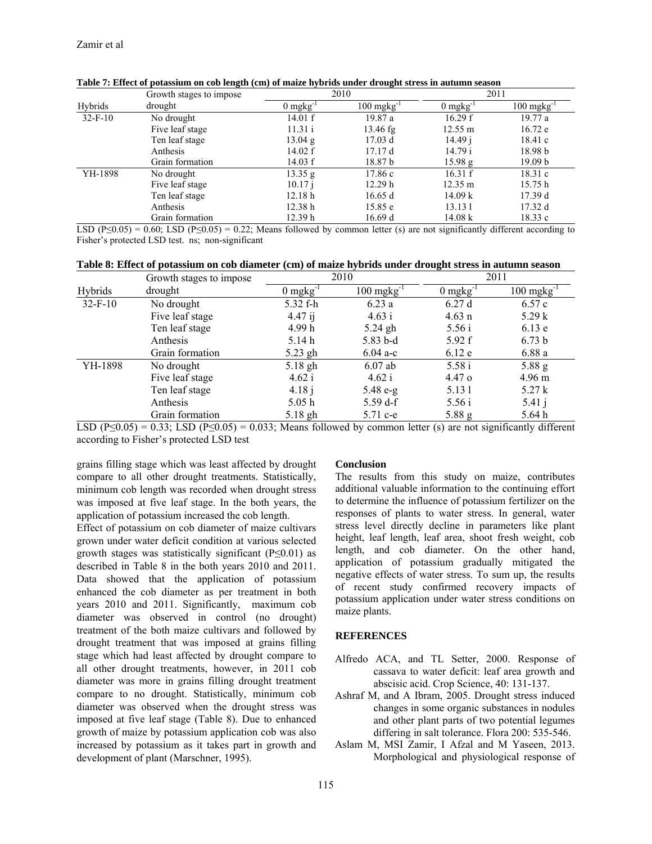|           | Growth stages to impose |                       | 2010                              | 2011                |                    |  |
|-----------|-------------------------|-----------------------|-----------------------------------|---------------------|--------------------|--|
| Hybrids   | drought                 | $0 \text{ mgkg}^{-1}$ | $100 \text{ m}$ gkg <sup>-1</sup> | 0 mgkg <sup>-</sup> | $100$ mgkg $^{-1}$ |  |
| $32-F-10$ | No drought              | 14.01 f               | 19.87 a                           | 16.29 f             | 19.77a             |  |
|           | Five leaf stage         | 11.31 i               | $13.46$ fg                        | $12.55 \text{ m}$   | 16.72 e            |  |
|           | Ten leaf stage          | 13.04 g               | 17.03 d                           | 14.49 i             | 18.41c             |  |
|           | Anthesis                | 14.02 $f$             | 17.17d                            | 14.79 i             | 18.98 b            |  |
|           | Grain formation         | 14.03 f               | 18.87 b                           | 15.98 g             | 19.09 <sub>b</sub> |  |
| YH-1898   | No drought              | 13.35 g               | 17.86 c                           | 16.31 f             | 18.31c             |  |
|           | Five leaf stage         | 10.17 i               | 12.29h                            | $12.35 \text{ m}$   | 15.75h             |  |
|           | Ten leaf stage          | 12.18h                | 16.65 d                           | 14.09 k             | 17.39d             |  |
|           | Anthesis                | 12.38h                | 15.85 e                           | 13.131              | 17.32 d            |  |
|           | Grain formation         | 12.39 h               | 16.69 d                           | $14.08 \text{ k}$   | 18.33c             |  |

**Table 7: Effect of potassium on cob length (cm) of maize hybrids under drought stress in autumn season** 

LSD (P≤0.05) = 0.60; LSD (P≤0.05) = 0.22; Means followed by common letter (s) are not significantly different according to Fisher's protected LSD test. ns; non-significant

|  |  |  | Table 8: Effect of potassium on cob diameter (cm) of maize hybrids under drought stress in autumn season |
|--|--|--|----------------------------------------------------------------------------------------------------------|
|  |  |  |                                                                                                          |

|           | Growth stages to impose | 2010                   |                         | 2011             |                         |
|-----------|-------------------------|------------------------|-------------------------|------------------|-------------------------|
| Hybrids   | drought                 | $0$ mgkg <sup>-1</sup> | $100 \text{ mgkg}^{-1}$ | $0$ mgkg $^{-1}$ | $100 \text{ mgkg}^{-1}$ |
| $32-F-10$ | No drought              | 5.32 f-h               | 6.23a                   | 6.27d            | 6.57c                   |
|           | Five leaf stage         | $4.47$ ij              | 4.63 i                  | $4.63 \text{ n}$ | 5.29k                   |
|           | Ten leaf stage          | 4.99 h                 | $5.24$ gh               | 5.56 i           | 6.13e                   |
|           | Anthesis                | 5.14h                  | $5.83 b-d$              | 5.92 f           | 6.73 <sub>b</sub>       |
|           | Grain formation         | $5.23$ gh              | $6.04 a-c$              | 6.12e            | 6.88a                   |
| YH-1898   | No drought              | 5.18 gh                | $6.07$ ab               | 5.58 i           | $5.88\text{ g}$         |
|           | Five leaf stage         | 4.62 i                 | 4.62 i                  | $4.47\,\sigma$   | $4.96 \text{ m}$        |
|           | Ten leaf stage          | 4.18j                  | $5.48 e-g$              | 5.131            | 5.27k                   |
|           | Anthesis                | 5.05h                  | $5.59 \text{ d-f}$      | 5.56i            | $5.41$ j                |
|           | Grain formation         | $5.18$ gh              | 5.71 c-e                | 5.88g            | 5.64h                   |

LSD (P≤0.05) = 0.33; LSD (P≤0.05) = 0.033; Means followed by common letter (s) are not significantly different according to Fisher's protected LSD test

grains filling stage which was least affected by drought compare to all other drought treatments. Statistically, minimum cob length was recorded when drought stress was imposed at five leaf stage. In the both years, the application of potassium increased the cob length.

Effect of potassium on cob diameter of maize cultivars grown under water deficit condition at various selected growth stages was statistically significant  $(P \le 0.01)$  as described in Table 8 in the both years 2010 and 2011. Data showed that the application of potassium enhanced the cob diameter as per treatment in both years 2010 and 2011. Significantly, maximum cob diameter was observed in control (no drought) treatment of the both maize cultivars and followed by drought treatment that was imposed at grains filling stage which had least affected by drought compare to all other drought treatments, however, in 2011 cob diameter was more in grains filling drought treatment compare to no drought. Statistically, minimum cob diameter was observed when the drought stress was imposed at five leaf stage (Table 8). Due to enhanced growth of maize by potassium application cob was also increased by potassium as it takes part in growth and development of plant (Marschner, 1995).

# **Conclusion**

The results from this study on maize, contributes additional valuable information to the continuing effort to determine the influence of potassium fertilizer on the responses of plants to water stress. In general, water stress level directly decline in parameters like plant height, leaf length, leaf area, shoot fresh weight, cob length, and cob diameter. On the other hand, application of potassium gradually mitigated the negative effects of water stress. To sum up, the results of recent study confirmed recovery impacts of potassium application under water stress conditions on maize plants.

# **REFERENCES**

- Alfredo ACA, and TL Setter, 2000. Response of cassava to water deficit: leaf area growth and abscisic acid. Crop Science, 40: 131-137.
- Ashraf M, and A Ibram, 2005. Drought stress induced changes in some organic substances in nodules and other plant parts of two potential legumes differing in salt tolerance. Flora 200: 535-546.
- Aslam M, MSI Zamir, I Afzal and M Yaseen, 2013. Morphological and physiological response of